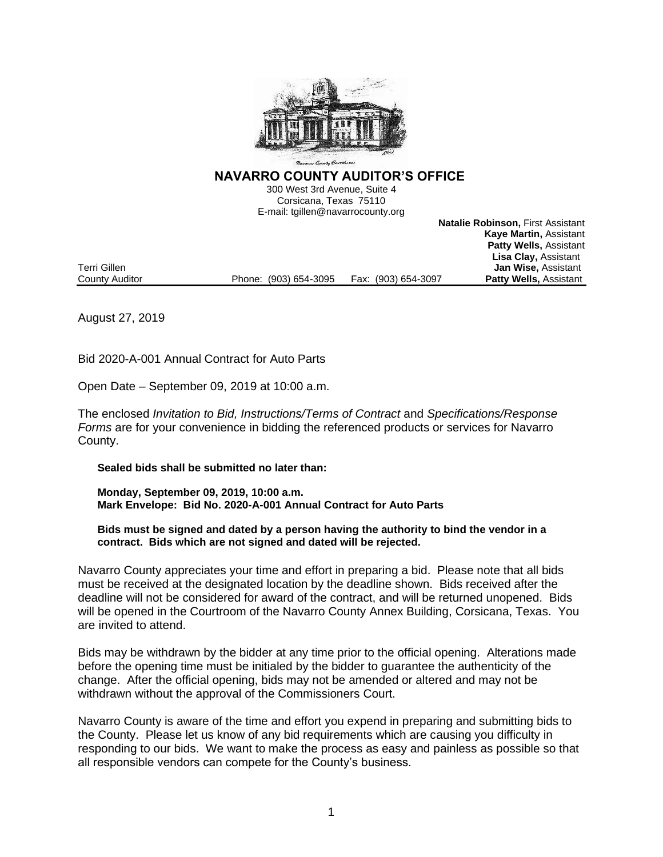

**NAVARRO COUNTY AUDITOR'S OFFICE** 

300 West 3rd Avenue, Suite 4 Corsicana, Texas 75110 E-mail: tgillen@navarrocounty.org

**Natalie Robinson,** First Assistant **Kaye Martin,** Assistant **Patty Wells,** Assistant **Lisa Clay,** Assistant **Jan Wise, Assistant Patty Wells, Assistant** County Auditor **Phone:** (903) 654-3095 Fax: (903) 654-3097

August 27, 2019

Bid 2020-A-001 Annual Contract for Auto Parts

Open Date – September 09, 2019 at 10:00 a.m.

The enclosed *Invitation to Bid, Instructions/Terms of Contract* and *Specifications/Response Forms* are for your convenience in bidding the referenced products or services for Navarro County.

**Sealed bids shall be submitted no later than:**

**Monday, September 09, 2019, 10:00 a.m. Mark Envelope: Bid No. 2020-A-001 Annual Contract for Auto Parts**

**Bids must be signed and dated by a person having the authority to bind the vendor in a contract. Bids which are not signed and dated will be rejected.**

Navarro County appreciates your time and effort in preparing a bid. Please note that all bids must be received at the designated location by the deadline shown. Bids received after the deadline will not be considered for award of the contract, and will be returned unopened. Bids will be opened in the Courtroom of the Navarro County Annex Building, Corsicana, Texas. You are invited to attend.

Bids may be withdrawn by the bidder at any time prior to the official opening. Alterations made before the opening time must be initialed by the bidder to guarantee the authenticity of the change. After the official opening, bids may not be amended or altered and may not be withdrawn without the approval of the Commissioners Court.

Navarro County is aware of the time and effort you expend in preparing and submitting bids to the County. Please let us know of any bid requirements which are causing you difficulty in responding to our bids. We want to make the process as easy and painless as possible so that all responsible vendors can compete for the County's business.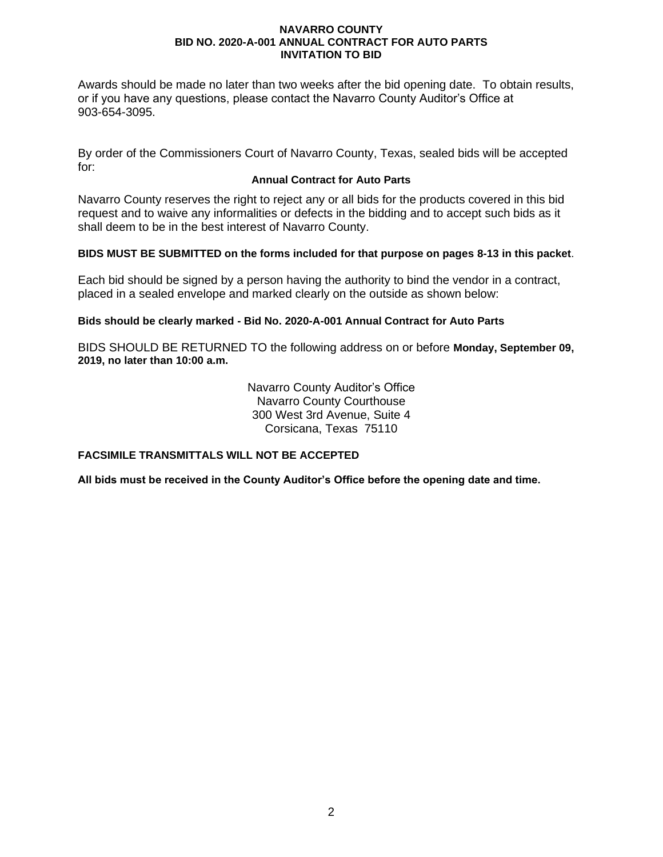Awards should be made no later than two weeks after the bid opening date. To obtain results, or if you have any questions, please contact the Navarro County Auditor's Office at 903-654-3095.

By order of the Commissioners Court of Navarro County, Texas, sealed bids will be accepted for:

## **Annual Contract for Auto Parts**

Navarro County reserves the right to reject any or all bids for the products covered in this bid request and to waive any informalities or defects in the bidding and to accept such bids as it shall deem to be in the best interest of Navarro County.

## **BIDS MUST BE SUBMITTED on the forms included for that purpose on pages 8-13 in this packet**.

Each bid should be signed by a person having the authority to bind the vendor in a contract, placed in a sealed envelope and marked clearly on the outside as shown below:

## **Bids should be clearly marked - Bid No. 2020-A-001 Annual Contract for Auto Parts**

BIDS SHOULD BE RETURNED TO the following address on or before **Monday, September 09, 2019, no later than 10:00 a.m.**

> Navarro County Auditor's Office Navarro County Courthouse 300 West 3rd Avenue, Suite 4 Corsicana, Texas 75110

## **FACSIMILE TRANSMITTALS WILL NOT BE ACCEPTED**

**All bids must be received in the County Auditor's Office before the opening date and time.**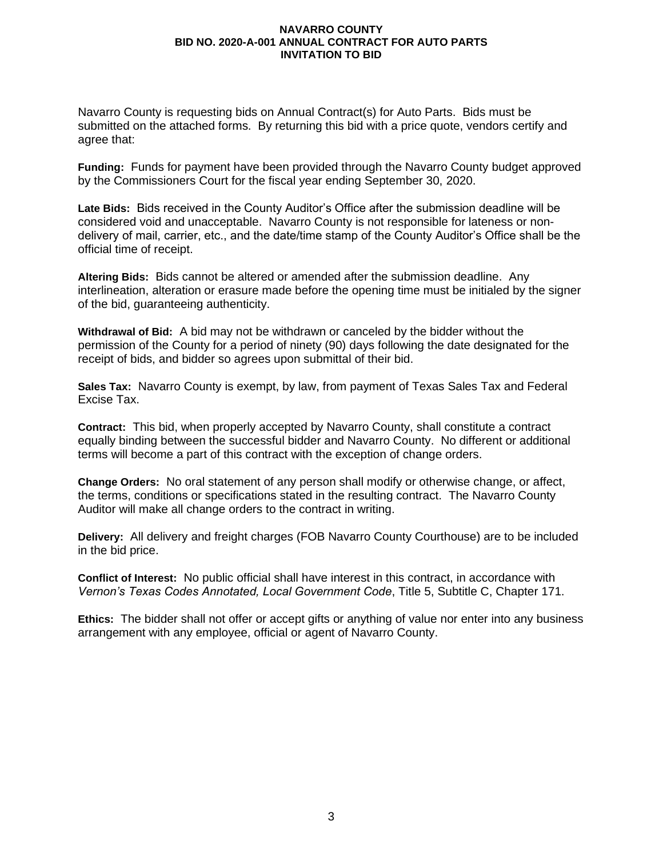Navarro County is requesting bids on Annual Contract(s) for Auto Parts. Bids must be submitted on the attached forms. By returning this bid with a price quote, vendors certify and agree that:

**Funding:** Funds for payment have been provided through the Navarro County budget approved by the Commissioners Court for the fiscal year ending September 30, 2020.

**Late Bids:** Bids received in the County Auditor's Office after the submission deadline will be considered void and unacceptable. Navarro County is not responsible for lateness or nondelivery of mail, carrier, etc., and the date/time stamp of the County Auditor's Office shall be the official time of receipt.

**Altering Bids:** Bids cannot be altered or amended after the submission deadline. Any interlineation, alteration or erasure made before the opening time must be initialed by the signer of the bid, guaranteeing authenticity.

**Withdrawal of Bid:** A bid may not be withdrawn or canceled by the bidder without the permission of the County for a period of ninety (90) days following the date designated for the receipt of bids, and bidder so agrees upon submittal of their bid.

**Sales Tax:** Navarro County is exempt, by law, from payment of Texas Sales Tax and Federal Excise Tax.

**Contract:** This bid, when properly accepted by Navarro County, shall constitute a contract equally binding between the successful bidder and Navarro County. No different or additional terms will become a part of this contract with the exception of change orders.

**Change Orders:** No oral statement of any person shall modify or otherwise change, or affect, the terms, conditions or specifications stated in the resulting contract. The Navarro County Auditor will make all change orders to the contract in writing.

**Delivery:** All delivery and freight charges (FOB Navarro County Courthouse) are to be included in the bid price.

**Conflict of Interest:** No public official shall have interest in this contract, in accordance with *Vernon's Texas Codes Annotated, Local Government Code*, Title 5, Subtitle C, Chapter 171.

**Ethics:** The bidder shall not offer or accept gifts or anything of value nor enter into any business arrangement with any employee, official or agent of Navarro County.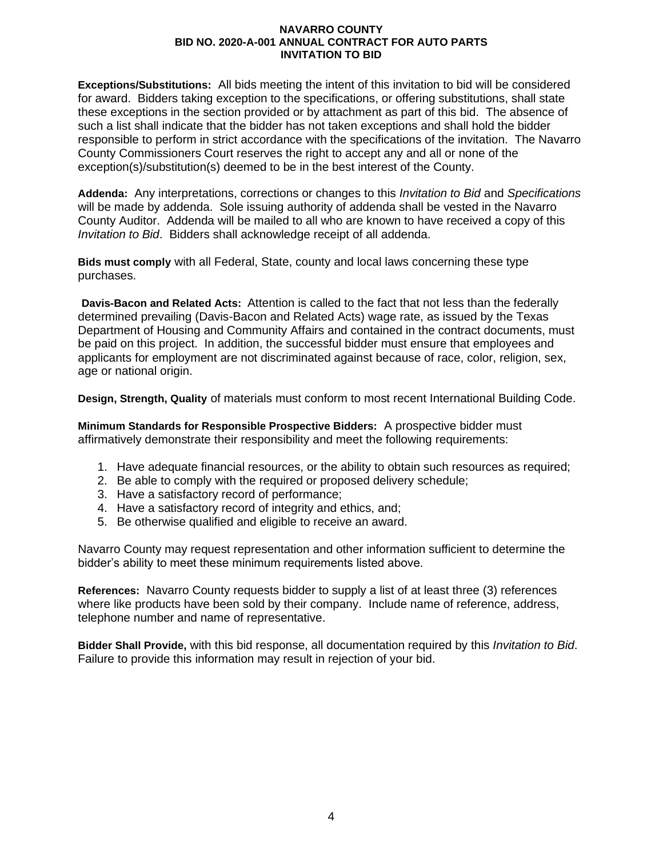**Exceptions/Substitutions:** All bids meeting the intent of this invitation to bid will be considered for award. Bidders taking exception to the specifications, or offering substitutions, shall state these exceptions in the section provided or by attachment as part of this bid. The absence of such a list shall indicate that the bidder has not taken exceptions and shall hold the bidder responsible to perform in strict accordance with the specifications of the invitation. The Navarro County Commissioners Court reserves the right to accept any and all or none of the exception(s)/substitution(s) deemed to be in the best interest of the County.

**Addenda:** Any interpretations, corrections or changes to this *Invitation to Bid* and *Specifications* will be made by addenda. Sole issuing authority of addenda shall be vested in the Navarro County Auditor. Addenda will be mailed to all who are known to have received a copy of this *Invitation to Bid*. Bidders shall acknowledge receipt of all addenda.

**Bids must comply** with all Federal, State, county and local laws concerning these type purchases.

**Davis-Bacon and Related Acts:**Attention is called to the fact that not less than the federally determined prevailing (Davis-Bacon and Related Acts) wage rate, as issued by the Texas Department of Housing and Community Affairs and contained in the contract documents, must be paid on this project. In addition, the successful bidder must ensure that employees and applicants for employment are not discriminated against because of race, color, religion, sex, age or national origin.

**Design, Strength, Quality** of materials must conform to most recent International Building Code.

**Minimum Standards for Responsible Prospective Bidders:** A prospective bidder must affirmatively demonstrate their responsibility and meet the following requirements:

- 1. Have adequate financial resources, or the ability to obtain such resources as required;
- 2. Be able to comply with the required or proposed delivery schedule;
- 3. Have a satisfactory record of performance;
- 4. Have a satisfactory record of integrity and ethics, and;
- 5. Be otherwise qualified and eligible to receive an award.

Navarro County may request representation and other information sufficient to determine the bidder's ability to meet these minimum requirements listed above.

**References:** Navarro County requests bidder to supply a list of at least three (3) references where like products have been sold by their company. Include name of reference, address, telephone number and name of representative.

**Bidder Shall Provide,** with this bid response, all documentation required by this *Invitation to Bid*. Failure to provide this information may result in rejection of your bid.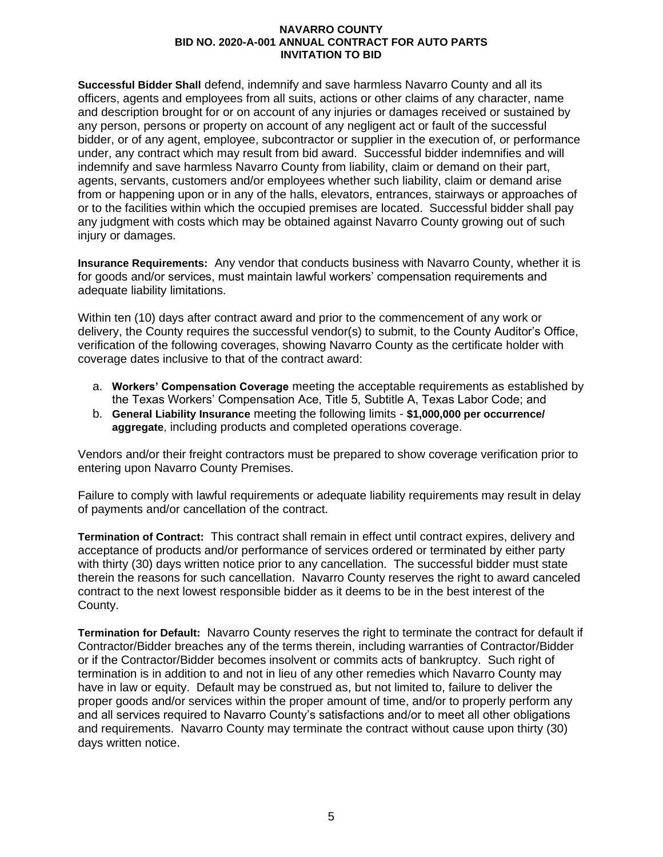**Successful Bidder Shall** defend, indemnify and save harmless Navarro County and all its officers, agents and employees from all suits, actions or other claims of any character, name and description brought for or on account of any injuries or damages received or sustained by any person, persons or property on account of any negligent act or fault of the successful bidder, or of any agent, employee, subcontractor or supplier in the execution of, or performance under, any contract which may result from bid award. Successful bidder indemnifies and will indemnify and save harmless Navarro County from liability, claim or demand on their part, agents, servants, customers and/or employees whether such liability, claim or demand arise from or happening upon or in any of the halls, elevators, entrances, stairways or approaches of or to the facilities within which the occupied premises are located. Successful bidder shall pay any judgment with costs which may be obtained against Navarro County growing out of such injury or damages.

**Insurance Requirements:** Any vendor that conducts business with Navarro County, whether it is for goods and/or services, must maintain lawful workers' compensation requirements and adequate liability limitations.

Within ten (10) days after contract award and prior to the commencement of any work or delivery, the County requires the successful vendor(s) to submit, to the County Auditor's Office, verification of the following coverages, showing Navarro County as the certificate holder with coverage dates inclusive to that of the contract award:

- a. **Workers' Compensation Coverage** meeting the acceptable requirements as established by the Texas Workers' Compensation Ace, Title 5, Subtitle A, Texas Labor Code; and
- b. **General Liability Insurance** meeting the following limits **\$1,000,000 per occurrence/ aggregate**, including products and completed operations coverage.

Vendors and/or their freight contractors must be prepared to show coverage verification prior to entering upon Navarro County Premises.

Failure to comply with lawful requirements or adequate liability requirements may result in delay of payments and/or cancellation of the contract.

**Termination of Contract:** This contract shall remain in effect until contract expires, delivery and acceptance of products and/or performance of services ordered or terminated by either party with thirty (30) days written notice prior to any cancellation. The successful bidder must state therein the reasons for such cancellation. Navarro County reserves the right to award canceled contract to the next lowest responsible bidder as it deems to be in the best interest of the County.

**Termination for Default:** Navarro County reserves the right to terminate the contract for default if Contractor/Bidder breaches any of the terms therein, including warranties of Contractor/Bidder or if the Contractor/Bidder becomes insolvent or commits acts of bankruptcy. Such right of termination is in addition to and not in lieu of any other remedies which Navarro County may have in law or equity. Default may be construed as, but not limited to, failure to deliver the proper goods and/or services within the proper amount of time, and/or to properly perform any and all services required to Navarro County's satisfactions and/or to meet all other obligations and requirements. Navarro County may terminate the contract without cause upon thirty (30) days written notice.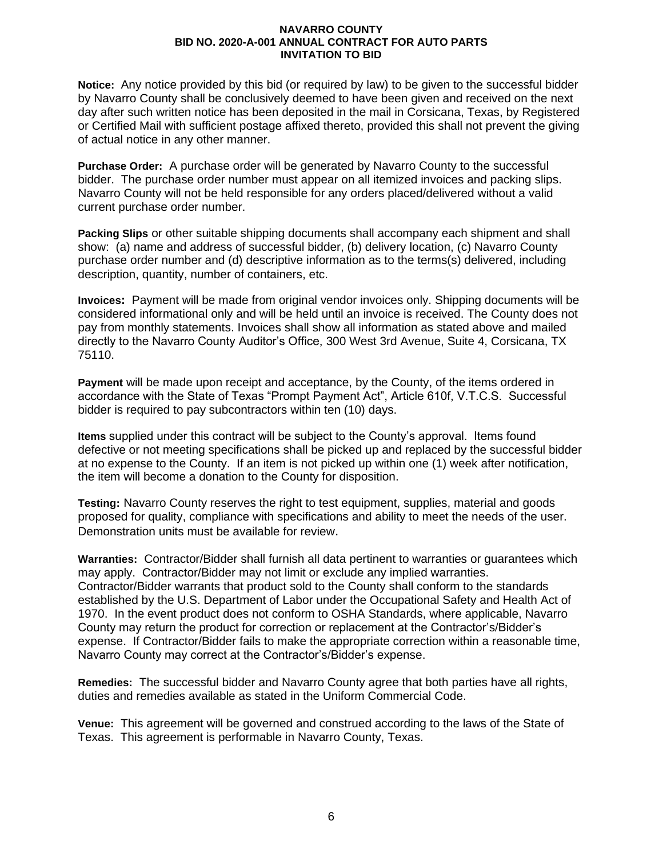**Notice:** Any notice provided by this bid (or required by law) to be given to the successful bidder by Navarro County shall be conclusively deemed to have been given and received on the next day after such written notice has been deposited in the mail in Corsicana, Texas, by Registered or Certified Mail with sufficient postage affixed thereto, provided this shall not prevent the giving of actual notice in any other manner.

**Purchase Order:** A purchase order will be generated by Navarro County to the successful bidder. The purchase order number must appear on all itemized invoices and packing slips. Navarro County will not be held responsible for any orders placed/delivered without a valid current purchase order number.

**Packing Slips** or other suitable shipping documents shall accompany each shipment and shall show: (a) name and address of successful bidder, (b) delivery location, (c) Navarro County purchase order number and (d) descriptive information as to the terms(s) delivered, including description, quantity, number of containers, etc.

**Invoices:** Payment will be made from original vendor invoices only. Shipping documents will be considered informational only and will be held until an invoice is received. The County does not pay from monthly statements. Invoices shall show all information as stated above and mailed directly to the Navarro County Auditor's Office, 300 West 3rd Avenue, Suite 4, Corsicana, TX 75110.

**Payment** will be made upon receipt and acceptance, by the County, of the items ordered in accordance with the State of Texas "Prompt Payment Act", Article 610f, V.T.C.S. Successful bidder is required to pay subcontractors within ten (10) days.

**Items** supplied under this contract will be subject to the County's approval. Items found defective or not meeting specifications shall be picked up and replaced by the successful bidder at no expense to the County. If an item is not picked up within one (1) week after notification, the item will become a donation to the County for disposition.

**Testing:** Navarro County reserves the right to test equipment, supplies, material and goods proposed for quality, compliance with specifications and ability to meet the needs of the user. Demonstration units must be available for review.

**Warranties:** Contractor/Bidder shall furnish all data pertinent to warranties or guarantees which may apply. Contractor/Bidder may not limit or exclude any implied warranties. Contractor/Bidder warrants that product sold to the County shall conform to the standards established by the U.S. Department of Labor under the Occupational Safety and Health Act of 1970. In the event product does not conform to OSHA Standards, where applicable, Navarro County may return the product for correction or replacement at the Contractor's/Bidder's expense. If Contractor/Bidder fails to make the appropriate correction within a reasonable time, Navarro County may correct at the Contractor's/Bidder's expense.

**Remedies:**The successful bidder and Navarro County agree that both parties have all rights, duties and remedies available as stated in the Uniform Commercial Code.

**Venue:** This agreement will be governed and construed according to the laws of the State of Texas. This agreement is performable in Navarro County, Texas.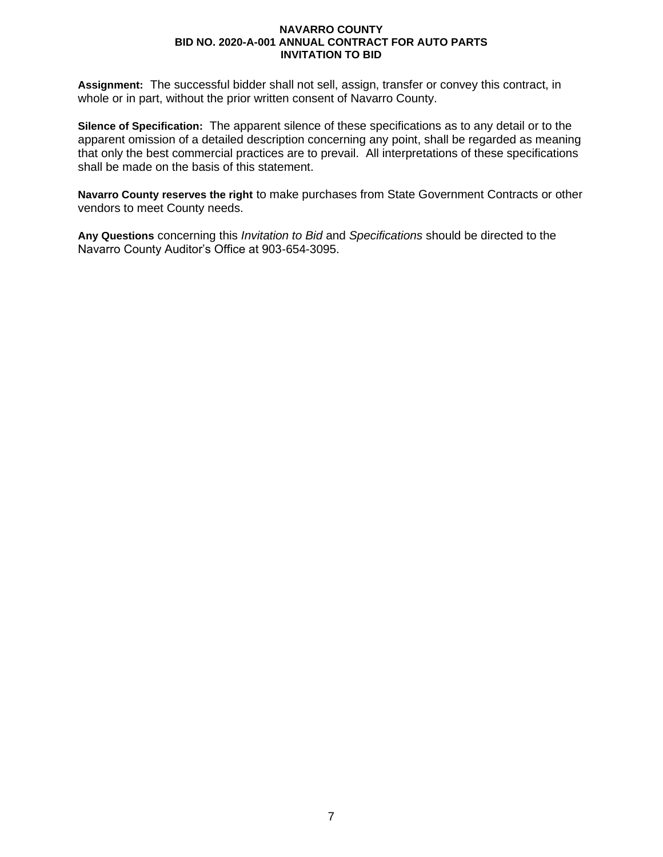**Assignment:** The successful bidder shall not sell, assign, transfer or convey this contract, in whole or in part, without the prior written consent of Navarro County.

**Silence of Specification:** The apparent silence of these specifications as to any detail or to the apparent omission of a detailed description concerning any point, shall be regarded as meaning that only the best commercial practices are to prevail. All interpretations of these specifications shall be made on the basis of this statement.

**Navarro County reserves the right** to make purchases from State Government Contracts or other vendors to meet County needs.

**Any Questions** concerning this *Invitation to Bid* and *Specifications* should be directed to the Navarro County Auditor's Office at 903-654-3095.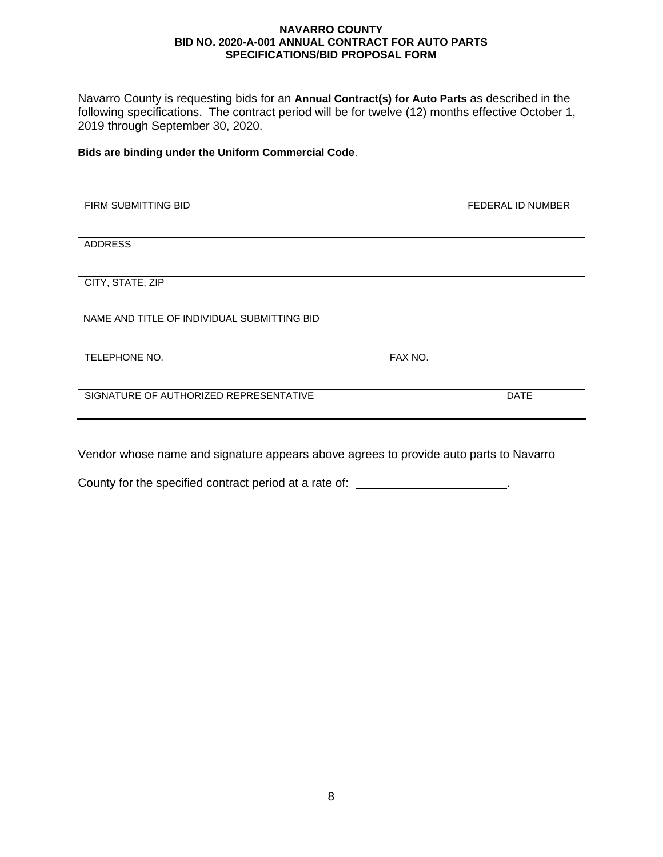Navarro County is requesting bids for an **Annual Contract(s) for Auto Parts** as described in the following specifications. The contract period will be for twelve (12) months effective October 1, 2019 through September 30, 2020.

**Bids are binding under the Uniform Commercial Code**.

| FIRM SUBMITTING BID                         |         | FEDERAL ID NUMBER |
|---------------------------------------------|---------|-------------------|
|                                             |         |                   |
| <b>ADDRESS</b>                              |         |                   |
|                                             |         |                   |
| CITY, STATE, ZIP                            |         |                   |
|                                             |         |                   |
| NAME AND TITLE OF INDIVIDUAL SUBMITTING BID |         |                   |
|                                             |         |                   |
| TELEPHONE NO.                               | FAX NO. |                   |
|                                             |         |                   |
| SIGNATURE OF AUTHORIZED REPRESENTATIVE      |         | <b>DATE</b>       |
|                                             |         |                   |
|                                             |         |                   |
|                                             |         |                   |
|                                             |         |                   |

l,

Vendor whose name and signature appears above agrees to provide auto parts to Navarro

County for the specified contract period at a rate of: \_\_\_\_\_\_\_\_\_\_\_\_\_\_\_\_\_\_\_\_\_\_\_.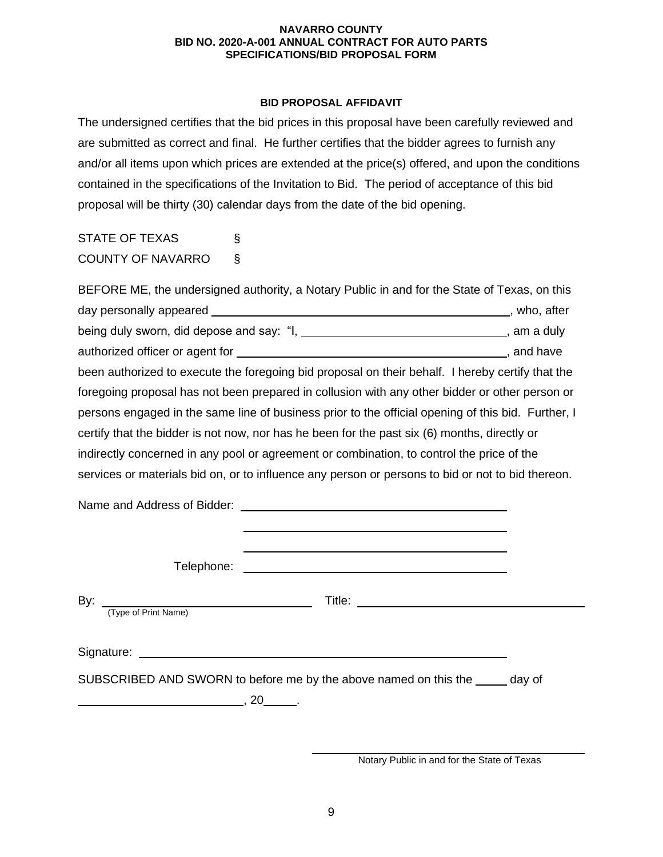## **BID PROPOSAL AFFIDAVIT**

The undersigned certifies that the bid prices in this proposal have been carefully reviewed and are submitted as correct and final. He further certifies that the bidder agrees to furnish any and/or all items upon which prices are extended at the price(s) offered, and upon the conditions contained in the specifications of the Invitation to Bid. The period of acceptance of this bid proposal will be thirty (30) calendar days from the date of the bid opening.

STATE OF TEXAS § COUNTY OF NAVARRO §

BEFORE ME, the undersigned authority, a Notary Public in and for the State of Texas, on this day personally appeared **contact and the contact of the contact of the contact of the contact of the contact of the contact of the contact of the contact of the contact of the contact of the contact of the contact of the c** being duly sworn, did depose and say: "I, \_\_\_\_\_\_\_\_\_\_\_\_\_\_\_\_\_\_\_\_\_\_\_\_\_\_\_\_\_\_\_\_\_, am a duly authorized officer or agent for  $\overline{\phantom{a}}$  and have , and have been authorized to execute the foregoing bid proposal on their behalf. I hereby certify that the foregoing proposal has not been prepared in collusion with any other bidder or other person or persons engaged in the same line of business prior to the official opening of this bid. Further, I certify that the bidder is not now, nor has he been for the past six (6) months, directly or indirectly concerned in any pool or agreement or combination, to control the price of the services or materials bid on, or to influence any person or persons to bid or not to bid thereon.

Name and Address of Bidder: Telephone: By: Title: (Type of Print Name) Signature: experience of the state of the state of the state of the state of the state of the state of the state of the state of the state of the state of the state of the state of the state of the state of the state of th SUBSCRIBED AND SWORN to before me by the above named on this the day of  $\overline{\phantom{a}}$ , 20  $\overline{\phantom{a}}$ 

Notary Public in and for the State of Texas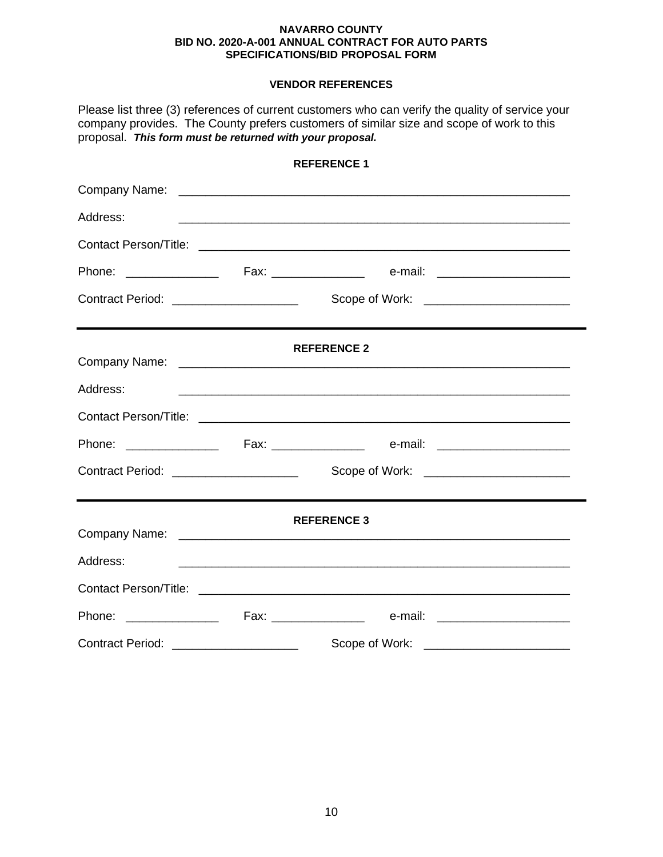## **VENDOR REFERENCES**

| Please list three (3) references of current customers who can verify the quality of service your<br>company provides. The County prefers customers of similar size and scope of work to this<br>proposal. This form must be returned with your proposal. |  |                                                                                                                        |  |  |  |  |
|----------------------------------------------------------------------------------------------------------------------------------------------------------------------------------------------------------------------------------------------------------|--|------------------------------------------------------------------------------------------------------------------------|--|--|--|--|
| <b>REFERENCE 1</b>                                                                                                                                                                                                                                       |  |                                                                                                                        |  |  |  |  |
|                                                                                                                                                                                                                                                          |  |                                                                                                                        |  |  |  |  |
| Address:                                                                                                                                                                                                                                                 |  | <u> 1990 - Jan Barbara, martxar anno 1992. I componente a contrar a componente de la componenta de la componenta d</u> |  |  |  |  |
|                                                                                                                                                                                                                                                          |  |                                                                                                                        |  |  |  |  |
|                                                                                                                                                                                                                                                          |  |                                                                                                                        |  |  |  |  |
| Contract Period: _____________________                                                                                                                                                                                                                   |  | Scope of Work: _________________________                                                                               |  |  |  |  |
|                                                                                                                                                                                                                                                          |  | <b>REFERENCE 2</b>                                                                                                     |  |  |  |  |
| Address:                                                                                                                                                                                                                                                 |  |                                                                                                                        |  |  |  |  |
|                                                                                                                                                                                                                                                          |  |                                                                                                                        |  |  |  |  |
|                                                                                                                                                                                                                                                          |  |                                                                                                                        |  |  |  |  |
| Contract Period: _____________________                                                                                                                                                                                                                   |  |                                                                                                                        |  |  |  |  |
|                                                                                                                                                                                                                                                          |  | <b>REFERENCE 3</b>                                                                                                     |  |  |  |  |
| Address:                                                                                                                                                                                                                                                 |  | <u> 1989 - Johann Stoff, amerikansk politiker (d. 1989)</u>                                                            |  |  |  |  |
|                                                                                                                                                                                                                                                          |  |                                                                                                                        |  |  |  |  |
|                                                                                                                                                                                                                                                          |  |                                                                                                                        |  |  |  |  |
| Contract Period: ____________________                                                                                                                                                                                                                    |  | Scope of Work:                                                                                                         |  |  |  |  |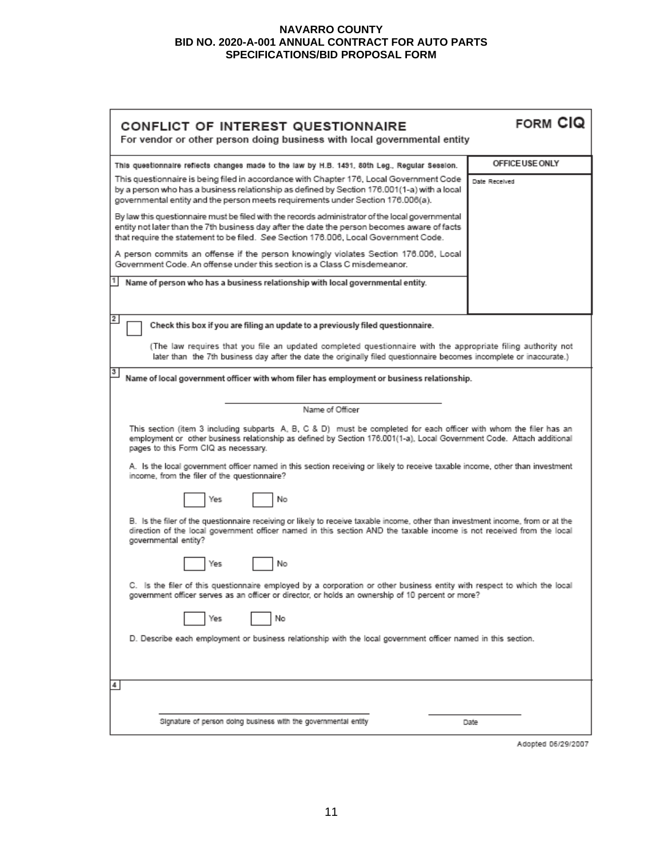| FORM CIQ<br>CONFLICT OF INTEREST QUESTIONNAIRE<br>For vendor or other person doing business with local governmental entity                                                                                                                                                             |                 |  |  |  |
|----------------------------------------------------------------------------------------------------------------------------------------------------------------------------------------------------------------------------------------------------------------------------------------|-----------------|--|--|--|
| This questionnaire reflects changes made to the law by H.B. 1491, 80th Leg., Regular Session.                                                                                                                                                                                          | OFFICE USE ONLY |  |  |  |
| This questionnaire is being filed in accordance with Chapter 176, Local Government Code<br>by a person who has a business relationship as defined by Section 176.001(1-a) with a local<br>governmental entity and the person meets requirements under Section 176.006(a).              | Date Received   |  |  |  |
| By law this questionnaire must be filed with the records administrator of the local governmental<br>entity not later than the 7th business day after the date the person becomes aware of facts<br>that require the statement to be filed. See Section 176.006, Local Government Code. |                 |  |  |  |
| A person commits an offense if the person knowingly violates Section 176.006, Local<br>Government Code. An offense under this section is a Class C misdemeanor.                                                                                                                        |                 |  |  |  |
| Name of person who has a business relationship with local governmental entity.                                                                                                                                                                                                         |                 |  |  |  |
| 2<br>Check this box if you are filing an update to a previously filed questionnaire.                                                                                                                                                                                                   |                 |  |  |  |
| (The law requires that you file an updated completed questionnaire with the appropriate filing authority not<br>later than the 7th business day after the date the originally filed questionnaire becomes incomplete or inaccurate.)                                                   |                 |  |  |  |
| 3<br>Name of local government officer with whom filer has employment or business relationship.                                                                                                                                                                                         |                 |  |  |  |
| Name of Officer                                                                                                                                                                                                                                                                        |                 |  |  |  |
| This section (item 3 including subparts A, B, C & D) must be completed for each officer with whom the filer has an<br>employment or other business relationship as defined by Section 176.001(1-a), Local Government Code. Attach additional<br>pages to this Form CIQ as necessary.   |                 |  |  |  |
| A. Is the local government officer named in this section receiving or likely to receive taxable income, other than investment<br>income, from the filer of the questionnaire?                                                                                                          |                 |  |  |  |
| No<br>Yes                                                                                                                                                                                                                                                                              |                 |  |  |  |
| B. Is the filer of the questionnaire receiving or likely to receive taxable income, other than investment income, from or at the<br>direction of the local government officer named in this section AND the taxable income is not received from the local<br>governmental entity?      |                 |  |  |  |
| No<br>Yes                                                                                                                                                                                                                                                                              |                 |  |  |  |
| C. Is the filer of this questionnaire employed by a corporation or other business entity with respect to which the local<br>? government officer serves as an officer or director, or holds an ownership of 10 percent or more                                                         |                 |  |  |  |
| No<br>Yes                                                                                                                                                                                                                                                                              |                 |  |  |  |
| D. Describe each employment or business relationship with the local government officer named in this section.                                                                                                                                                                          |                 |  |  |  |
| 4                                                                                                                                                                                                                                                                                      |                 |  |  |  |
| Signature of person doing business with the governmental entity                                                                                                                                                                                                                        | Date            |  |  |  |

Adopted 06/29/2007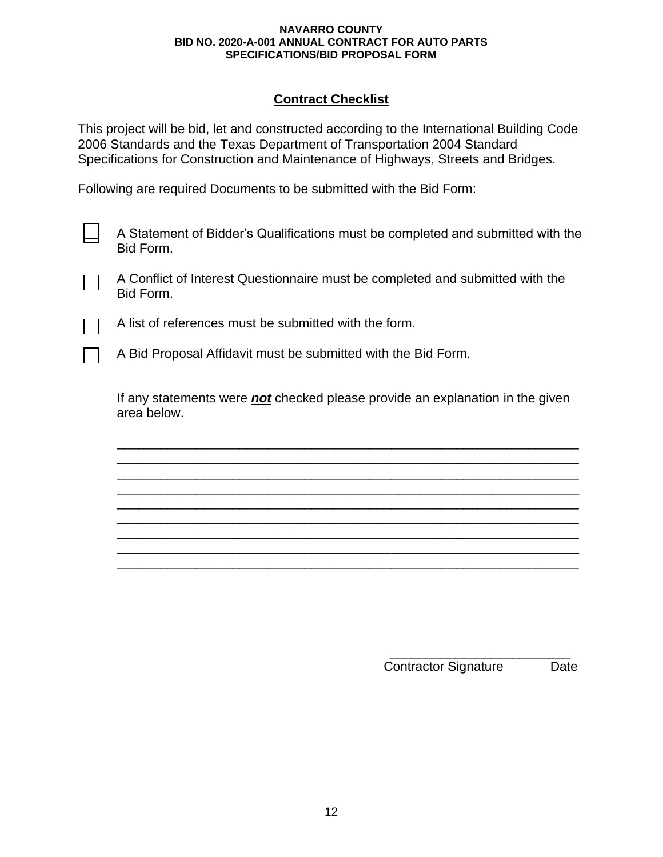## **Contract Checklist**

This project will be bid, let and constructed according to the International Building Code 2006 Standards and the Texas Department of Transportation 2004 Standard Specifications for Construction and Maintenance of Highways, Streets and Bridges.

Following are required Documents to be submitted with the Bid Form:

A Statement of Bidder's Qualifications must be completed and submitted with the Bid Form.

A Conflict of Interest Questionnaire must be completed and submitted with the Bid Form.

A list of references must be submitted with the form.

A Bid Proposal Affidavit must be submitted with the Bid Form.

If any statements were *not* checked please provide an explanation in the given area below.

\_\_\_\_\_\_\_\_\_\_\_\_\_\_\_\_\_\_\_\_\_\_\_\_\_\_\_\_\_\_\_\_\_\_\_\_\_\_\_\_\_\_\_\_\_\_\_\_\_\_\_\_\_\_\_\_\_\_\_\_\_\_\_\_ \_\_\_\_\_\_\_\_\_\_\_\_\_\_\_\_\_\_\_\_\_\_\_\_\_\_\_\_\_\_\_\_\_\_\_\_\_\_\_\_\_\_\_\_\_\_\_\_\_\_\_\_\_\_\_\_\_\_\_\_\_\_\_\_ \_\_\_\_\_\_\_\_\_\_\_\_\_\_\_\_\_\_\_\_\_\_\_\_\_\_\_\_\_\_\_\_\_\_\_\_\_\_\_\_\_\_\_\_\_\_\_\_\_\_\_\_\_\_\_\_\_\_\_\_\_\_\_\_ \_\_\_\_\_\_\_\_\_\_\_\_\_\_\_\_\_\_\_\_\_\_\_\_\_\_\_\_\_\_\_\_\_\_\_\_\_\_\_\_\_\_\_\_\_\_\_\_\_\_\_\_\_\_\_\_\_\_\_\_\_\_\_\_ \_\_\_\_\_\_\_\_\_\_\_\_\_\_\_\_\_\_\_\_\_\_\_\_\_\_\_\_\_\_\_\_\_\_\_\_\_\_\_\_\_\_\_\_\_\_\_\_\_\_\_\_\_\_\_\_\_\_\_\_\_\_\_\_ \_\_\_\_\_\_\_\_\_\_\_\_\_\_\_\_\_\_\_\_\_\_\_\_\_\_\_\_\_\_\_\_\_\_\_\_\_\_\_\_\_\_\_\_\_\_\_\_\_\_\_\_\_\_\_\_\_\_\_\_\_\_\_\_ \_\_\_\_\_\_\_\_\_\_\_\_\_\_\_\_\_\_\_\_\_\_\_\_\_\_\_\_\_\_\_\_\_\_\_\_\_\_\_\_\_\_\_\_\_\_\_\_\_\_\_\_\_\_\_\_\_\_\_\_\_\_\_\_ \_\_\_\_\_\_\_\_\_\_\_\_\_\_\_\_\_\_\_\_\_\_\_\_\_\_\_\_\_\_\_\_\_\_\_\_\_\_\_\_\_\_\_\_\_\_\_\_\_\_\_\_\_\_\_\_\_\_\_\_\_\_\_\_ \_\_\_\_\_\_\_\_\_\_\_\_\_\_\_\_\_\_\_\_\_\_\_\_\_\_\_\_\_\_\_\_\_\_\_\_\_\_\_\_\_\_\_\_\_\_\_\_\_\_\_\_\_\_\_\_\_\_\_\_\_\_\_\_

> \_\_\_\_\_\_\_\_\_\_\_\_\_\_\_\_\_\_\_\_\_\_\_\_\_ Contractor Signature Date